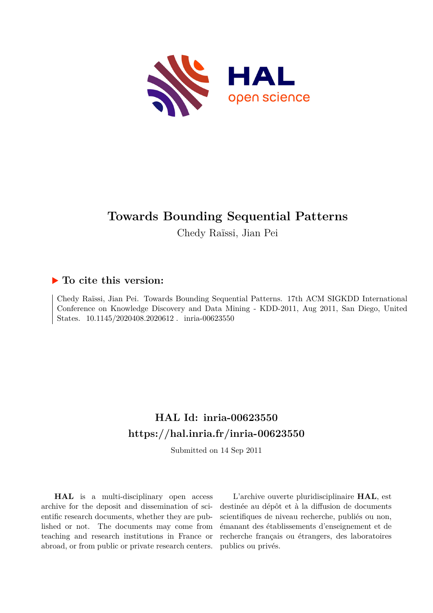

# **Towards Bounding Sequential Patterns**

Chedy Raïssi, Jian Pei

# **To cite this version:**

Chedy Raïssi, Jian Pei. Towards Bounding Sequential Patterns. 17th ACM SIGKDD International Conference on Knowledge Discovery and Data Mining - KDD-2011, Aug 2011, San Diego, United States.  $10.1145/2020408.2020612$ . inria-00623550

# **HAL Id: inria-00623550 <https://hal.inria.fr/inria-00623550>**

Submitted on 14 Sep 2011

**HAL** is a multi-disciplinary open access archive for the deposit and dissemination of scientific research documents, whether they are published or not. The documents may come from teaching and research institutions in France or abroad, or from public or private research centers.

L'archive ouverte pluridisciplinaire **HAL**, est destinée au dépôt et à la diffusion de documents scientifiques de niveau recherche, publiés ou non, émanant des établissements d'enseignement et de recherche français ou étrangers, des laboratoires publics ou privés.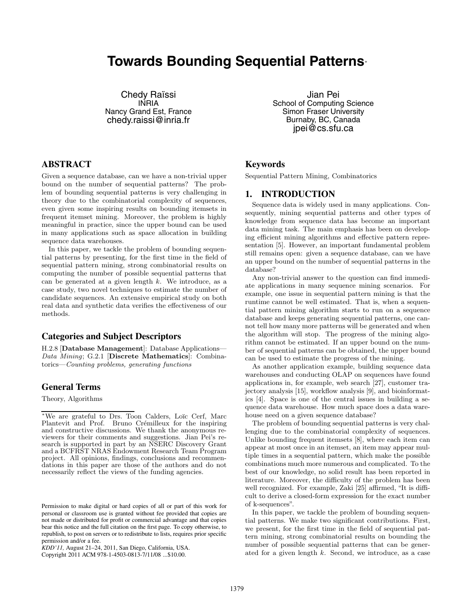# **Towards Bounding Sequential Patterns**<sup>∗</sup>

Chedy Raïssi INRIA Nancy Grand Est, France chedy.raissi@inria.fr

## **ABSTRACT**

Given a sequence database, can we have a non-trivial upper bound on the number of sequential patterns? The problem of bounding sequential patterns is very challenging in theory due to the combinatorial complexity of sequences, even given some inspiring results on bounding itemsets in frequent itemset mining. Moreover, the problem is highly meaningful in practice, since the upper bound can be used in many applications such as space allocation in building sequence data warehouses.

In this paper, we tackle the problem of bounding sequential patterns by presenting, for the first time in the field of sequential pattern mining, strong combinatorial results on computing the number of possible sequential patterns that can be generated at a given length  $k$ . We introduce, as a case study, two novel techniques to estimate the number of candidate sequences. An extensive empirical study on both real data and synthetic data verifies the effectiveness of our methods.

#### **Categories and Subject Descriptors**

H.2.8 [**Database Management**]: Database Applications— Data Mining; G.2.1 [**Discrete Mathematics**]: Combinatorics—Counting problems, generating functions

### **General Terms**

Theory, Algorithms

Copyright 2011 ACM 978-1-4503-0813-7/11/08 ...\$10.00.

Jian Pei School of Computing Science Simon Fraser University Burnaby, BC, Canada jpei@cs.sfu.ca

#### **Keywords**

Sequential Pattern Mining, Combinatorics

#### **1. INTRODUCTION**

Sequence data is widely used in many applications. Consequently, mining sequential patterns and other types of knowledge from sequence data has become an important data mining task. The main emphasis has been on developing efficient mining algorithms and effective pattern representation [5]. However, an important fundamental problem still remains open: given a sequence database, can we have an upper bound on the number of sequential patterns in the database?

Any non-trivial answer to the question can find immediate applications in many sequence mining scenarios. For example, one issue in sequential pattern mining is that the runtime cannot be well estimated. That is, when a sequential pattern mining algorithm starts to run on a sequence database and keeps generating sequential patterns, one cannot tell how many more patterns will be generated and when the algorithm will stop. The progress of the mining algorithm cannot be estimated. If an upper bound on the number of sequential patterns can be obtained, the upper bound can be used to estimate the progress of the mining.

As another application example, building sequence data warehouses and conducting OLAP on sequences have found applications in, for example, web search [27], customer trajectory analysis [15], workflow analysis [9], and bioinformatics [4]. Space is one of the central issues in building a sequence data warehouse. How much space does a data warehouse need on a given sequence database?

The problem of bounding sequential patterns is very challenging due to the combinatorial complexity of sequences. Unlike bounding frequent itemsets [8], where each item can appear at most once in an itemset, an item may appear multiple times in a sequential pattern, which make the possible combinations much more numerous and complicated. To the best of our knowledge, no solid result has been reported in literature. Moreover, the difficulty of the problem has been well recognized. For example, Zaki [25] affirmed, "It is difficult to derive a closed-form expression for the exact number of k-sequences".

In this paper, we tackle the problem of bounding sequential patterns. We make two significant contributions. First, we present, for the first time in the field of sequential pattern mining, strong combinatorial results on bounding the number of possible sequential patterns that can be generated for a given length  $k$ . Second, we introduce, as a case

<sup>\*</sup>We are grateful to Drs. Toon Calders, Loïc Cerf, Marc Plantevit and Prof. Bruno Crémilleux for the inspiring and constructive discussions. We thank the anonymous reviewers for their comments and suggestions. Jian Pei's research is supported in part by an NSERC Discovery Grant and a BCFRST NRAS Endowment Research Team Program project. All opinions, findings, conclusions and recommendations in this paper are those of the authors and do not necessarily reflect the views of the funding agencies.

Permission to make digital or hard copies of all or part of this work for personal or classroom use is granted without fee provided that copies are not made or distributed for profit or commercial advantage and that copies bear this notice and the full citation on the first page. To copy otherwise, to republish, to post on servers or to redistribute to lists, requires prior specific permission and/or a fee.

*KDD'11,* August 21–24, 2011, San Diego, California, USA.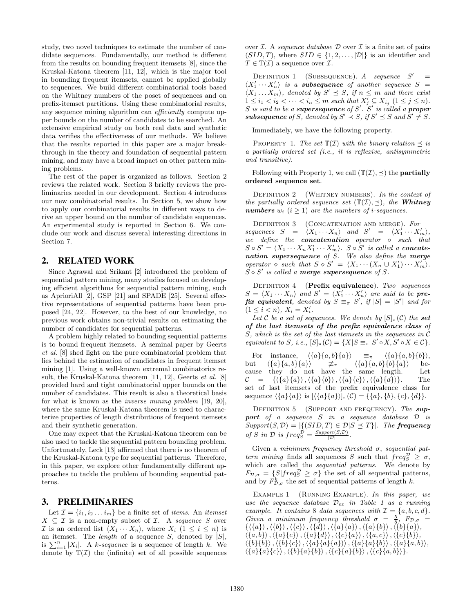study, two novel techniques to estimate the number of candidate sequences. Fundamentally, our method is different from the results on bounding frequent itemsets [8], since the Kruskal-Katona theorem [11, 12], which is the major tool in bounding frequent itemsets, cannot be applied globally to sequences. We build different combinatorial tools based on the Whitney numbers of the poset of sequences and on prefix-itemset partitions. Using these combinatorial results, any sequence mining algorithm can *efficiently* compute upper bounds on the number of candidates to be searched. An extensive empirical study on both real data and synthetic data verifies the effectiveness of our methods. We believe that the results reported in this paper are a major breakthrough in the theory and foundation of sequential pattern mining, and may have a broad impact on other pattern mining problems.

The rest of the paper is organized as follows. Section 2 reviews the related work. Section 3 briefly reviews the preliminaries needed in our development. Section 4 introduces our new combinatorial results. In Section 5, we show how to apply our combinatorial results in different ways to derive an upper bound on the number of candidate sequences. An experimental study is reported in Section 6. We conclude our work and discuss several interesting directions in Section 7.

#### **2. RELATED WORK**

Since Agrawal and Srikant [2] introduced the problem of sequential pattern mining, many studies focused on developing efficient algorithms for sequential pattern mining, such as AprioriAll [2], GSP [21] and SPADE [25]. Several effective representations of sequential patterns have been proposed [24, 22]. However, to the best of our knowledge, no previous work obtains non-trivial results on estimating the number of candidates for sequential patterns.

A problem highly related to bounding sequential patterns is to bound frequent itemsets. A seminal paper by Geerts et al. [8] shed light on the pure combinatorial problem that lies behind the estimation of candidates in frequent itemset mining [1]. Using a well-known extremal combinatorics result, the Kruskal-Katona theorem [11, 12], Geerts *et al.* [8] provided hard and tight combinatorial upper bounds on the number of candidates. This result is also a theoretical basis for what is known as the inverse mining problem [19, 20], where the same Kruskal-Katona theorem is used to characterize properties of length distributions of frequent itemsets and their synthetic generation.

One may expect that the Kruskal-Katona theorem can be also used to tackle the sequential pattern bounding problem. Unfortunately, Leck [13] affirmed that there is no theorem of the Kruskal-Katona type for sequential patterns. Therefore, in this paper, we explore other fundamentally different approaches to tackle the problem of bounding sequential patterns.

#### **3. PRELIMINARIES**

Let  $\mathcal{I} = \{i_1, i_2, \ldots, i_m\}$  be a finite set of *items*. An *itemset*  $X \subseteq \mathcal{I}$  is a non-empty subset of  $\mathcal{I}$ . A sequence S over I is an ordered list  $\langle X_1 \cdots X_n \rangle$ , where  $X_i$   $(1 \leq i \leq n)$  is an itemset. The *length* of a sequence S, denoted by  $|S|$ , is  $\sum_{i=1}^{n} |X_i|$ . A k-sequence is a sequence of length k. We denote by  $\mathbb{T}(\mathcal{I})$  the (infinite) set of all possible sequences

over  $I$ . A sequence database  $D$  over  $I$  is a finite set of pairs  $(SID, T)$ , where  $SID \in \{1, 2, ..., |\mathcal{D}|\}$  is an identifier and  $T \in \mathbb{T}(\mathcal{I})$  a sequence over  $\mathcal{I}$ .

DEFINITION 1 (SUBSEQUENCE). A sequence  $S'$  $\langle X'_1 \cdots X'_n \rangle$  is a **subsequence** of another sequence  $S =$  $\langle X_1 \ldots X_m \rangle$ , denoted by  $S' \preceq S$ , if  $n \leq m$  and there exist  $1 \leq i_1 < i_2 < \cdots < i_n \leq m$  such that  $X_j^{\overline{\prime}} \subseteq X_{i_j} \ (1 \leq j \leq n)$ . S is said to be a **supersequence** of S'. S' is called a **proper** *subsequence* of S, denoted by  $S' \prec S$ , if  $S' \preceq S$  and  $S' \neq S$ .

Immediately, we have the following property.

PROPERTY 1. The set  $\mathbb{T}(\mathcal{I})$  with the binary relation  $\prec$  is a partially ordered set (i.e., it is reflexive, antisymmetric and transitive).

Following with Property 1, we call  $(\mathbb{T}(\mathcal{I}), \preceq)$  the **partially ordered sequence set**.

DEFINITION 2 (WHITNEY NUMBERS). In the context of the partially ordered sequence set  $(\mathbb{T}(\mathcal{I}), \preceq)$ , the **Whitney** *numbers*  $w_i$  ( $i > 1$ ) are the numbers of *i*-sequences.

DEFINITION 3 (CONCATENATION AND MERGE). For sequences  $S = \langle X_1 \cdots X_n \rangle$  and  $S' = \langle X_1^j \cdots X_m^j \rangle$ , we define the **concatenation** operator ∘ such that  $S \circ S' = \langle X_1 \cdots X_n X'_1 \cdots X'_m \rangle$ .  $S \circ S'$  is called a **concate***nation supersequence* of S. We also define the *merge* operator  $\diamond$  such that  $S \diamond S' = \langle X_1 \cdots (X_n \cup X'_1) \cdots X'_m \rangle$ .  $S \diamond S'$  is called a **merge supersequence** of S.

Definition 4 (**Prefix equivalence**). Two sequences  $S = \langle X_1 \cdots X_n \rangle$  and  $S' = \langle X'_1 \cdots X'_n \rangle$  are said to be **pre***fix equivalent*, denoted by  $S \equiv_{\pi} S'$ , if  $|S| = |S'|$  and for  $(1 \leq i < n), X_i = X'_i.$ 

Let C be a set of sequences. We denote by  $[S]_\pi(\mathcal{C})$  the set *of the last itemsets of the prefix equivalence class* of S, which is the set of the last itemsets in the sequences in  $\mathcal C$ equivalent to S, i.e.,  $[S]_\pi(\mathcal{C}) = \{X | S \equiv_\pi S' \circ X, S' \circ X \in \mathcal{C}\}.$ 

For instance,  $\langle {a}{a,b}{a} \rangle \equiv_{\pi} \langle {a}{a,b}{b} \rangle$ ,<br>it  $\langle {a}{a,b}{a}\rangle \neq_{\pi} \langle {a}{a,b}{b}{a} \rangle$  bebut  $\langle \{a\}\{a,b\}\{a\}\rangle$   $\neq_{\pi}$   $\langle \{a\}\{a,b\}\{b\}\{a\}\rangle$  because they do not have the same length. Let  $C = {\langle \langle \{a\}\{a\} \rangle, \langle \{a\}\{b\} \rangle, \langle \{a\}\{c\} \rangle, \langle \{a\}\{d\} \rangle}.$  The set of last itemsets of the prefix equivalence class for sequence  $\langle \{a\}\{a\}\rangle$  is  $[\langle \{a\}\{a\}\rangle]_{\pi}(\mathcal{C}) = \{\{a\}, \{b\}, \{c\}, \{d\}\}.$ 

Definition 5 (Support and frequency). The *support* of a sequence S in a sequence database D is  $Support(S, \mathcal{D}) = |\{(SID, T) \in \mathcal{D}|S \preceq T\}|.$  The **frequency** of S in D is  $freq_S^{\mathcal{D}} = \frac{Support(S,\mathcal{D})}{|\mathcal{D}|}$ .

Given a minimum frequency threshold  $\sigma$ , sequential pattern mining finds all sequences S such that  $freq_S^{\mathcal{D}} \geq \sigma$ , which are called the sequential patterns. We denote by  $F_{\mathcal{D},\sigma} = \{S | freq_S^{\mathcal{D}} \geq \sigma\}$  the set of all sequential patterns, and by  $\overrightarrow{F}_{\mathcal{D},\sigma}^k$  the set of sequential patterns of length k.

EXAMPLE 1 (RUNNING EXAMPLE). In this paper, we use the sequence database  $\mathcal{D}_{ex}$  in Table 1 as a running example. It contains 8 data sequences with  $\mathcal{I} = \{a, b, c, d\}.$ Given a minimum frequency threshold  $\sigma = \frac{5}{8}$ ,  $F_{\mathcal{D}, \sigma}$  =  $\{\langle \{a\} \rangle\,, \langle \{b\} \rangle\,, \langle \{c\} \rangle\,, \langle \{d\} \rangle\,, \langle \{a\} \{a\} \rangle\,, \langle \{a\} \{b\} \rangle\,, \langle \{b\} \{a\} \rangle,$  $\langle \{a,b\}\rangle$ ,  $\langle \{a\}\{c\}\rangle$ ,  $\langle \{a\}\{d\}\rangle$ ,  $\langle \{c\}\{a\}\rangle$ ,  $\langle \{a,c\}\rangle$ ,  $\langle \{c\}\{b\}\rangle$ ,  $\langle \{b\}\{b\}\rangle$ ,  $\langle \{b\}\{c\}\rangle$ ,  $\langle \{a\}\{a\}\{a\}\rangle$ ),  $\langle \{a\}\{a\}\{b\}\rangle$ ,  $\langle \{a\}\{a,b\}\rangle$ ,  $\langle \{a\}\{a\}\{c\}\rangle$ ,  $\langle \{b\}\{a\}\{b\}\rangle$ ,  $\langle \{c\}\{a\}\{b\}\rangle$ ,  $\langle \{c\}\{a,b\}\rangle$ .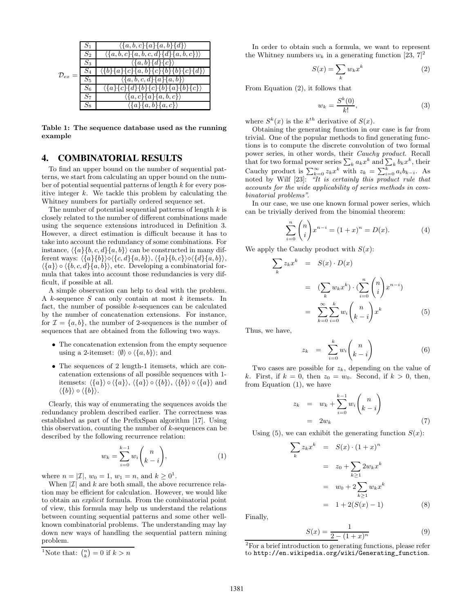| ${\cal D}_{ex}$ = | $S_{1}$     | $\langle \{a,b,c\}\{a\}\{a,b\}\{d\}\rangle$                    |
|-------------------|-------------|----------------------------------------------------------------|
|                   | $S_2$       | $\langle \{a, b, c\}\{a, b, c, d\}\{d\}\{a, b, c\}\rangle$     |
|                   | $S_3$       | $\langle \{a,b\}\{d\}\{c\}\rangle$                             |
|                   | $S_4$       | $\langle \{b\}\{a\}\{c\}\{a,b\}\{c\}\{b\}\{c\}\{d\}$           |
|                   | $S_5$       | $\langle \{a,b,c,d\}\{a\}\{a,b\}\rangle$                       |
|                   | $S_{\rm 6}$ | $\langle \{a\}\{c\}\{d\}\{b\}\{c\}\{b\}\{a\}\{b\}\{c\}\rangle$ |
|                   | $S_7$       | $\langle \{a,c\}\{a\}\{a,b,c\}\rangle$                         |
|                   | $S_8$       | $\langle \{a\}\{a,b\}\{a,c\}\rangle$                           |
|                   |             |                                                                |

**Table 1: The sequence database used as the running example**

## **4. COMBINATORIAL RESULTS**

To find an upper bound on the number of sequential patterns, we start from calculating an upper bound on the number of potential sequential patterns of length k for every positive integer k. We tackle this problem by calculating the Whitney numbers for partially ordered sequence set.

The number of potential sequential patterns of length  $k$  is closely related to the number of different combinations made using the sequence extensions introduced in Definition 3. However, a direct estimation is difficult because it has to take into account the redundancy of some combinations. For instance,  $\langle \{a\}\{b, c, d\}\{a, b\}\rangle$  can be constructed in many different ways:  $\langle {a}{b}\rangle \diamond \langle {c,d}{a,b}\rangle, \langle {a}{b,c}\rangle \diamond \langle {d}{a,b}\rangle,$  $\langle \{a\} \rangle \circ \langle \{b, c, d\} \{a, b\} \rangle$ , etc. Developing a combinatorial formula that takes into account those redundancies is very difficult, if possible at all.

A simple observation can help to deal with the problem. A k-sequence S can only contain at most k itemsets. In fact, the number of possible  $k$ -sequences can be calculated by the number of concatenation extensions. For instance, for  $\mathcal{I} = \{a, b\}$ , the number of 2-sequences is the number of sequences that are obtained from the following two ways.

- The concatenation extension from the empty sequence using a 2-itemset:  $\langle \emptyset \rangle \circ \langle \{a, b\} \rangle$ ; and
- The sequences of 2 length-1 itemsets, which are concatenation extensions of all possible sequences with 1 itemsets:  $\langle \{a\} \rangle \circ \langle \{a\} \rangle$ ,  $\langle \{a\} \rangle \circ \langle \{b\} \rangle$ ,  $\langle \{b\} \rangle \circ \langle \{a\} \rangle$  and  $\langle \{b\} \rangle \circ \langle \{b\} \rangle.$

Clearly, this way of enumerating the sequences avoids the redundancy problem described earlier. The correctness was established as part of the PrefixSpan algorithm [17]. Using this observation, counting the number of  $k$ -sequences can be described by the following recurrence relation:

$$
w_k = \sum_{i=0}^{k-1} w_i \binom{n}{k-i},\tag{1}
$$

where  $n = |\mathcal{I}|, w_0 = 1, w_1 = n$ , and  $k \geq 0^1$ .

When  $|\mathcal{I}|$  and k are both small, the above recurrence relation may be efficient for calculation. However, we would like to obtain an explicit formula. From the combinatorial point of view, this formula may help us understand the relations between counting sequential patterns and some other wellknown combinatorial problems. The understanding may lay down new ways of handling the sequential pattern mining problem.

In order to obtain such a formula, we want to represent the Whitney numbers  $w_k$  in a generating function [23, 7]<sup>2</sup>

$$
S(x) = \sum_{k} w_k x^k \tag{2}
$$

From Equation (2), it follows that

$$
w_k = \frac{S^k(0)}{k!},\tag{3}
$$

where  $S^k(x)$  is the  $k^{th}$  derivative of  $S(x)$ .

Obtaining the generating function in our case is far from trivial. One of the popular methods to find generating functions is to compute the discrete convolution of two formal power series, in other words, their Cauchy product. Recall that for two formal power series  $\sum_k a_k x^k$  and  $\sum_k b_k x^k$ , their Cauchy product is  $\sum_{k=0}^{\infty} z_k x^k$  with  $z_k = \sum_{i=0}^k a_i b_{k-i}$ . As noted by Wilf [23]: "It is certainly this product rule that accounts for the wide applicability of series methods in combinatorial problems".

In our case, we use one known formal power series, which can be trivially derived from the binomial theorem:

$$
\sum_{i=0}^{n} \binom{n}{i} x^{n-i} = (1+x)^n = D(x). \tag{4}
$$

We apply the Cauchy product with  $S(x)$ :

$$
\sum_{k} z_{k} x^{k} = S(x) \cdot D(x)
$$
\n
$$
= (\sum_{k} w_{k} x^{k}) \cdot (\sum_{i=0}^{n} {n \choose i} x^{n-i})
$$
\n
$$
= \sum_{k=0}^{\infty} \sum_{i=0}^{k} w_{i} {n \choose k-i} x^{k} \qquad (5)
$$

Thus, we have,

$$
z_k = \sum_{i=0}^k w_i \binom{n}{k-i} \tag{6}
$$

Two cases are possible for  $z_k$ , depending on the value of k. First, if  $k = 0$ , then  $z_0 = w_0$ . Second, if  $k > 0$ , then, from Equation (1), we have

$$
z_k = w_k + \sum_{i=0}^{k-1} w_i \binom{n}{k-i}
$$

$$
= 2w_k \tag{7}
$$

Using (5), we can exhibit the generating function  $S(x)$ :

$$
\sum_{k} z_{k} x^{k} = S(x) \cdot (1+x)^{n}
$$
\n
$$
= z_{0} + \sum_{k \geq 1} 2w_{k} x^{k}
$$
\n
$$
= w_{0} + 2 \sum_{k \geq 1} w_{k} x^{k}
$$
\n
$$
= 1 + 2(S(x) - 1) \tag{8}
$$

Finally,

$$
S(x) = \frac{1}{2 - (1 + x)^n} \tag{9}
$$

<sup>&</sup>lt;sup>1</sup>Note that:  $\binom{n}{k} = 0$  if  $k > n$ 

<sup>2</sup>For a brief introduction to generating functions, please refer to http://en.wikipedia.org/wiki/Generating\_function.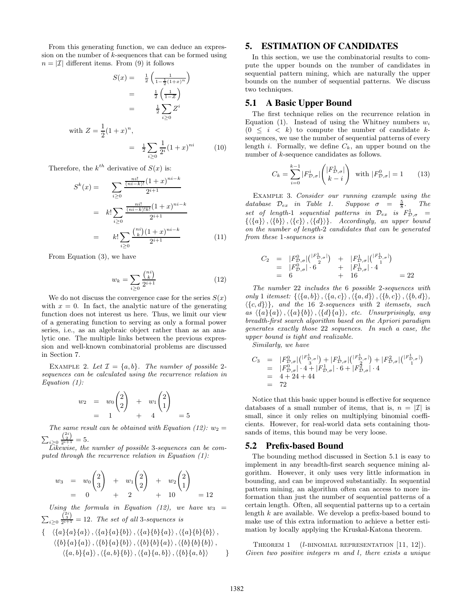From this generating function, we can deduce an expression on the number of k-sequences that can be formed using  $n = |\mathcal{I}|$  different items. From (9) it follows

$$
S(x) = \frac{1}{2} \left( \frac{1}{1 - \frac{1}{2}(1 + x)^n} \right)
$$
  
\n
$$
= \frac{1}{2} \left( \frac{1}{1 - Z} \right)
$$
  
\n
$$
= \frac{1}{2} \sum_{i \ge 0} Z^i
$$
  
\nwith  $Z = \frac{1}{2} (1 + x)^n$ ,  
\n
$$
= \frac{1}{2} \sum_{i \ge 0} \frac{1}{2^i} (1 + x)^{ni}
$$
 (10)

Therefore, the  $k^{th}$  derivative of  $S(x)$  is:

$$
S^{k}(x) = \sum_{i \geq 0} \frac{\frac{n!}{(ni-k)!} (1+x)^{ni-k}}{2^{i+1}}
$$

$$
= k! \sum_{i \geq 0} \frac{\frac{n^{i!}}{(ni-k)!k!} (1+x)^{ni-k}}{2^{i+1}}
$$

$$
= k! \sum_{i \geq 0} \frac{\binom{n^{i}}{k} (1+x)^{ni-k}}{2^{i+1}}
$$
(11)

From Equation (3), we have

$$
w_k = \sum_{i \ge 0} \frac{\binom{n i}{k}}{2^{i+1}} \tag{12}
$$

We do not discuss the convergence case for the series  $S(x)$ with  $x = 0$ . In fact, the analytic nature of the generating function does not interest us here. Thus, we limit our view of a generating function to serving as only a formal power series, i.e., as an algebraic object rather than as an analytic one. The multiple links between the previous expression and well-known combinatorial problems are discussed in Section 7.

EXAMPLE 2. Let  $\mathcal{I} = \{a, b\}$ . The number of possible 2sequences can be calculated using the recurrence relation in Equation (1):

$$
\begin{array}{rcl}\nw_2 & = & w_0 \binom{2}{2} + w_1 \binom{2}{1} \\
& = & 1 + 4\n\end{array} \quad = 5
$$

The same result can be obtained with Equation (12):  $w_2 =$  $\sum_{i\geq 0}$  $\frac{\binom{2i}{2}}{2i+1} = 5.$ <br>Likewise, the number of possible 3-sequences can be com-

puted through the recurrence relation in Equation (1):

$$
w_3 = w_0 \begin{pmatrix} 2 \\ 3 \end{pmatrix} + w_1 \begin{pmatrix} 2 \\ 2 \end{pmatrix} + w_2 \begin{pmatrix} 2 \\ 1 \end{pmatrix} = 12
$$

Using the formula in Equation (12), we have  $w_3$  =  $\sum_{i\geq 0}$  $\frac{\binom{2i}{3}}{2^{i+1}} = 12$ . The set of all 3-sequences is

$$
\{\quad \langle \{a\}\{a\}\{a\}\rangle, \langle \{a\}\{a\}\{b\}\rangle, \langle \{a\}\{b\}\{a\}\rangle, \langle \{a\}\{b\}\{b\}\rangle, \langle \{b\}\{a\}\{a\}\rangle, \langle \{b\}\{a\}\{b\}\rangle, \langle \{b\}\{b\}\{a\}\rangle, \langle \{b\}\{b\}\rangle, \langle \{a,b\}\{a\}\rangle, \langle \{a,b\}\{b\}\rangle, \langle \{a\}\{a,b\}\rangle, \langle \{b\}\{a,b\}\rangle, \langle \{a,b\}\{a\}\rangle, \langle \{a,b\}\{b\}\rangle, \langle \{a\}\{a,b\}\rangle, \langle \{b\}\{a,b\}\rangle
$$

### **5. ESTIMATION OF CANDIDATES**

In this section, we use the combinatorial results to compute the upper bounds on the number of candidates in sequential pattern mining, which are naturally the upper bounds on the number of sequential patterns. We discuss two techniques.

#### **5.1 A Basic Upper Bound**

The first technique relies on the recurrence relation in Equation (1). Instead of using the Whitney numbers  $w_i$  $(0 \leq i \leq k)$  to compute the number of candidate ksequences, we use the number of sequential patterns of every length *i*. Formally, we define  $C_k$ , an upper bound on the number of k-sequence candidates as follows.

$$
C_k = \sum_{i=0}^{k-1} |F_{\mathcal{D},\sigma}^i| \binom{|F_{\mathcal{D},\sigma}^1|}{k-i} \text{ with } |F_{\mathcal{D},\sigma}^0| = 1 \qquad (13)
$$

Example 3. Consider our running example using the database  $\mathcal{D}_{ex}$  in Table 1. Suppose  $\sigma = \frac{5}{8}$ . The set of length-1 sequential patterns in  $\mathcal{D}_{ex}$  is  $F_{\mathcal{D},\sigma}^1$  =  ${\{\langle \{a\}\rangle, \langle \{b\}\rangle, \langle \{c\}\rangle, \langle \{d\}\rangle\}.$  Accordingly, an upper bound on the number of length-2 candidates that can be generated from these 1-sequences is

$$
C_2 = |F_{\mathcal{D},\sigma}^0|^{(F_{\mathcal{D},\sigma}^1|)} + |F_{\mathcal{D},\sigma}^1|^{(F_{\mathcal{D},\sigma}^1|)}= |F_{\mathcal{D},\sigma}^0| \cdot 6 + |F_{\mathcal{D},\sigma}^1| \cdot 4= 6 + 16 = 22
$$

The number 22 includes the 6 possible 2-sequences with only 1 itemset:  $\{\langle \{a, b\}, \langle \{a, c\}, \langle \{a, d\}, \langle \{b, c\}, \langle \{b, d\}, \rangle \rangle\} \rangle$  $\langle {c, d} \rangle$ , and the 16 2-sequences with 2 itemsets, such as  $\langle \{a\}\{a\} \rangle$ ,  $\langle \{a\}\{b\} \rangle$ ,  $\langle \{d\}\{a\} \rangle$ , etc. Unsurprisingly, any breadth-first search algorithm based on the Apriori paradigm generates exactly those 22 sequences. In such a case, the upper bound is tight and realizable.

Similarly, we have

$$
C_3 = |F_{\mathcal{D},\sigma}^0| \binom{|F_{\mathcal{D},\sigma}^1|}{3} + |F_{\mathcal{D},\sigma}^1| \binom{|F_{\mathcal{D},\sigma}^1|}{2} + |F_{\mathcal{D},\sigma}^2| \binom{|F_{\mathcal{D},\sigma}^1|}{1} = |F_{\mathcal{D},\sigma}^0| \cdot 4 + |F_{\mathcal{D},\sigma}^1| \cdot 6 + |F_{\mathcal{D},\sigma}^2| \cdot 4 = 4 + 24 + 44 = 72
$$

Notice that this basic upper bound is effective for sequence databases of a small number of items, that is,  $n = |\mathcal{I}|$  is small, since it only relies on multiplying binomial coefficients. However, for real-world data sets containing thousands of items, this bound may be very loose.

#### **5.2 Prefix-based Bound**

The bounding method discussed in Section 5.1 is easy to implement in any breadth-first search sequence mining algorithm. However, it only uses very little information in bounding, and can be improved substantially. In sequential pattern mining, an algorithm often can access to more information than just the number of sequential patterns of a certain length. Often, all sequential patterns up to a certain length k are available. We develop a prefix-based bound to make use of this extra information to achieve a better estimation by locally applying the Kruskal-Katona theorem.

THEOREM 1  $(l$ -BINOMIAL REPRESENTATION [11, 12]). Given two positive integers m and l, there exists a unique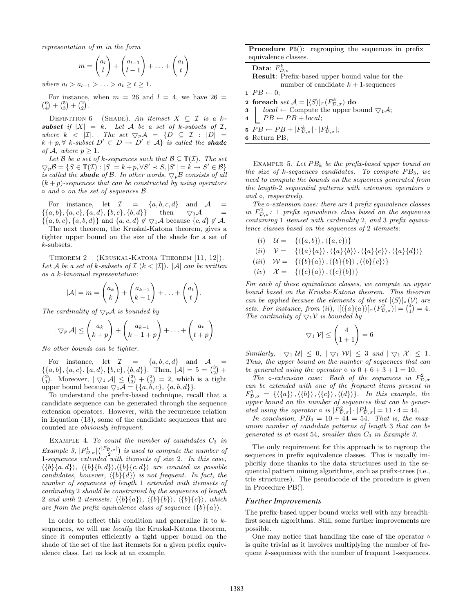representation of m in the form

$$
m = \begin{pmatrix} a_l \\ l \end{pmatrix} + \begin{pmatrix} a_{l-1} \\ l-1 \end{pmatrix} + \ldots + \begin{pmatrix} a_t \\ t \end{pmatrix}
$$

where  $a_l > a_{l-1} > \ldots > a_t \geq t \geq 1$ .

 $\binom{6}{4} + \binom{5}{3} + \binom{2}{2}.$ For instance, when  $m = 26$  and  $l = 4$ , we have  $26 =$ 

DEFINITION 6 (SHADE). An itemset  $X \subseteq \mathcal{I}$  is a k*subset* if  $|X| = k$ . Let A be a set of k-subsets of  $\mathcal{I}$ , where  $k < |\mathcal{I}|$ . The set  $\bigtriangledown_p \mathcal{A} = \{D \subseteq \mathcal{I} : |D| =$  $k + p, \forall k$ -subset  $D' \subset D \rightarrow D' \in \mathcal{A}$  is called the **shade** of A, where  $p > 1$ .

Let B be a set of k-sequences such that  $\mathcal{B} \subseteq \mathbb{T}(\mathcal{I})$ . The set  $\bigtriangledown_{p}B = \{S \in \mathbb{T}(\mathcal{I}) : |S| = k + p, \forall S' \prec S, |S'| = k \rightarrow S' \in \mathcal{B}\}$ is called the **shade** of B. In other words,  $\bigtriangledown_p$ B consists of all  $(k+p)$ -sequences that can be constructed by using operators  $\circ$  and  $\circ$  on the set of sequences  $\mathcal{B}$ .

For instance, let  $\mathcal{I} = \{a, b, c, d\}$  and  $\mathcal{A} =$  $\{\{a, b\}, \{a, c\}, \{a, d\}, \{b, c\}, \{b, d\}\}$  then  $\bigtriangledown_1 \mathcal{A}$  $\{\{a, b, c\}, \{a, b, d\}\}\$ and  $\{a, c, d\} \notin \bigtriangledown_1 \mathcal{A}$  because  $\{c, d\} \notin \mathcal{A}$ .

The next theorem, the Kruskal-Katona theorem, gives a tighter upper bound on the size of the shade for a set of k-subsets.

THEOREM 2 (KRUSKAL-KATONA THEOREM [11, 12]). Let A be a set of k-subsets of  $\mathcal{I}$   $(k < |\mathcal{I}|)$ .  $|\mathcal{A}|$  can be written as a k-binomial representation:

$$
|\mathcal{A}| = m = \begin{pmatrix} a_k \\ k \end{pmatrix} + \begin{pmatrix} a_{k-1} \\ k-1 \end{pmatrix} + \ldots + \begin{pmatrix} a_t \\ t \end{pmatrix}.
$$

The cardinality of  $\bigtriangledown_p A$  is bounded by

$$
|\nabla_p \mathcal{A}| \leq {a_k \choose k+p} + {a_{k-1} \choose k-1+p} + \ldots + {a_t \choose t+p}
$$

No other bounds can be tighter.

For instance, let  $\mathcal{I} = \{a, b, c, d\}$  and  $\mathcal{A} =$  $\{\{a, b\}, \{a, c\}, \{a, d\}, \{b, c\}, \{b, d\}\}.$  Then,  $|\mathcal{A}| = 5 = {3 \choose 2} +$  $\binom{2}{1}$ . Moreover,  $|\nabla_1 \mathcal{A}| \leq \binom{3}{3} + \binom{2}{2} = 2$ , which is a tight upper bound because  $\nabla_1\mathcal{A} = {\{a, b, c\}, \{a, b, d\}}.$ 

To understand the prefix-based technique, recall that a candidate sequence can be generated through the sequence extension operators. However, with the recurrence relation in Equation (13), some of the candidate sequences that are counted are obviously infrequent.

EXAMPLE 4. To count the number of candidates  $C_3$  in Example 3,  $|F_{\mathcal{D},\sigma}^1|$  $\binom{|F_{\mathcal{D},\sigma}^1|}{2}$  is used to compute the number of 1-sequences extended with itemsets of size 2. In this case,  $\langle \{b\}\{a, d\}\rangle$ ,  $\langle \{b\}\{b, d\}\rangle$ ,  $\langle \{b\}\{c, d\}\rangle$  are counted as possible candidates, however,  $\langle \{b\}\{d\}\rangle$  is not frequent. In fact, the number of sequences of length 1 extended with itemsets of cardinality 2 should be constrained by the sequences of length 2 and with 2 itemsets:  $\langle \{b\}\{a\}\rangle$ ,  $\langle \{b\}\{b\}\rangle$ ,  $\langle \{b\}\{c\}\rangle$ , which are from the prefix equivalence class of sequence  $\langle \{b\} \{a\} \rangle$ .

In order to reflect this condition and generalize it to ksequences, we will use *locally* the Kruskal-Katona theorem, since it computes efficiently a tight upper bound on the shade of the set of the last itemsets for a given prefix equivalence class. Let us look at an example.

**Procedure** PB(): regrouping the sequences in prefix equivalence classes.

Data:  $F^k_{\mathcal{D},\sigma}$ **Result**: Prefix-based upper bound value for the number of candidate  $k + 1$ -sequences  $P B \leftarrow 0$ : **for ach** set  $\mathcal{A} = [\langle S \rangle]_{\pi}(F_{\mathcal{D}, \sigma}^{k})$  **do**<br>**3**  $\boldsymbol{\beta}$  *local*  $\leftarrow$  Compute the upper b **3**  $\bigcup$  *local* ← Compute the upper bound  $\nabla_1 \mathcal{A}$ ; **4**  $PB \leftarrow PB + local;$  $\mathbf{5} \ \ PB \leftarrow PB + |F_{\mathcal{D},\sigma}^k| \cdot |F_{\mathcal{D},\sigma}^1|;$ **6** Return PB;

EXAMPLE 5. Let  $PB_k$  be the prefix-based upper bound on the size of k-sequences candidates. To compute  $PB_3$ , we need to compute the bounds on the sequences generated from the length-2 sequential patterns with extension operators  $\circ$ and  $\diamond$ , respectively.

The  $\diamond$ -extension case: there are 4 prefix equivalence classes in  $F_{\mathcal{D},\sigma}^2$ : 1 prefix equivalence class based on the sequences containing 1 itemset with cardinality 2, and 3 prefix equivalence classes based on the sequences of 2 itemsets:

- (i)  $\mathcal{U} = \{\langle \{a, b\} \rangle, \langle \{a, c\} \rangle \}$
- (ii)  $V = \{\langle \{a\}\{a\} \rangle, \langle \{a\}\{b\} \rangle, \langle \{a\}\{c\} \rangle, \langle \{a\}\{d\} \rangle \}$
- (iii)  $W = {\langle {b}{a} \rangle, \langle {b}{b} \rangle, \langle {b}{b} \rangle}$
- $(iv) \quad \mathcal{X} = \{\langle \{c\}\{a\}\rangle, \langle \{c\}\{b\}\rangle\}$

For each of these equivalence classes, we compute an upper bound based on the Kruska-Katona theorem. This theorem can be applied because the elements of the set  $\langle S \rangle_{\pi}(\mathcal{V})$  are sets. For instance, from (ii),  $\left| \langle \{a\}(a) \rangle \right|_{\pi} (F_{\mathcal{D}, \sigma}^2) = \binom{4}{1} = 4.$ The cardinality of  $\nabla_1$  V is bounded by

$$
|\bigtriangledown_1 \mathcal{V}| \le \begin{pmatrix} 4 \\ 1+1 \end{pmatrix} = 6
$$

Similarly,  $|\nabla_1 U| \leq 0$ ,  $|\nabla_1 W| \leq 3$  and  $|\nabla_1 X| \leq 1$ . Thus, the upper bound on the number of sequences that can be generated using the operator  $\diamond$  is  $0 + 6 + 3 + 1 = 10$ .

The  $\circ$ -extension case: Each of the sequences in  $F_{\mathcal{D},\sigma}^2$ can be extended with one of the frequent items present in  $F_{\mathcal{D},\sigma}^1 = \{\langle \{a\} \rangle, \langle \{b\} \rangle, \langle \{c\} \rangle, \langle (d \} \rangle\}.$  In this example, the upper bound on the number of sequences that can be generated using the operator  $\circ$  is  $|F_{\mathcal{D},\sigma}^2| \cdot |F_{\mathcal{D},\sigma}^1| = 11 \cdot 4 = 44.$ 

In conclusion,  $PB_3 = 10 + 44 = 54$ . That is, the maximum number of candidate patterns of length 3 that can be generated is at most 54, smaller than  $C_3$  in Example 3.

The only requirement for this approach is to regroup the sequences in prefix equivalence classes. This is usually implicitly done thanks to the data structures used in the sequential pattern mining algorithms, such as prefix-trees (i.e., trie structures). The pseudocode of the procedure is given in Procedure PB().

#### *Further Improvements*

The prefix-based upper bound works well with any breadthfirst search algorithms. Still, some further improvements are possible.

One may notice that handling the case of the operator  $\circ$ is quite trivial as it involves multiplying the number of frequent k-sequences with the number of frequent 1-sequences.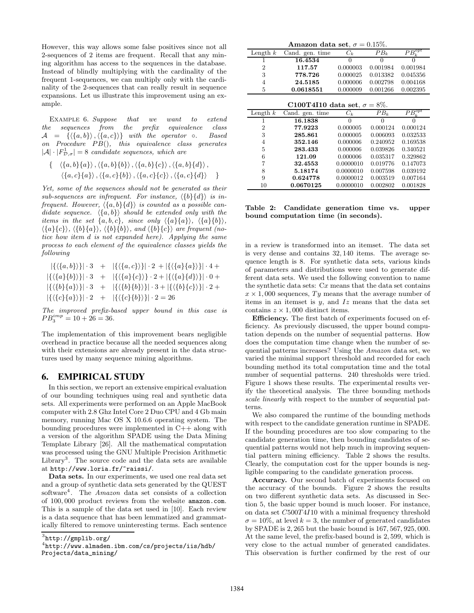However, this way allows some false positives since not all 2-sequences of 2 items are frequent. Recall that any mining algorithm has access to the sequences in the database. Instead of blindly multiplying with the cardinality of the frequent 1-sequences, we can multiply only with the cardinality of the 2-sequences that can really result in sequence expansions. Let us illustrate this improvement using an example.

EXAMPLE 6. Suppose that we want to extend the sequences from the prefix equivalence class  $\mathcal{A} = {\langle \langle \{a, b\} \rangle, \langle \{a, c\} \rangle \}$  with the operator  $\circ$ . Based on Procedure  $PB()$ , this equivalence class generates  $|\mathcal{A}| \cdot |F_{\mathcal{D}, \sigma}^1| = 8$  candidate sequences, which are

$$
\{\quad \langle \{a,b\}\{a\}\rangle, \langle \{a,b\}\{b\}\rangle, \langle \{a,b\}\{c\}\rangle, \langle \{a,b\}\{d\}\rangle, \\ \langle \{a,c\}\{a\}\rangle, \langle \{a,c\}\{b\}\rangle, \langle \{a,c\}\{c\}\rangle, \langle \{a,c\}\{d\}\rangle \quad \}
$$

Yet, some of the sequences should not be generated as their sub-sequences are infrequent. For instance,  $\langle \{b\} \{d\} \rangle$  is infrequent. However,  $\langle \{a, b\}\{d\} \rangle$  is counted as a possible candidate sequence.  $\langle \{a, b\} \rangle$  should be extended only with the items in the set  $\{a, b, c\}$ , since only  $\langle \{a\}\{a\}\rangle$ ,  $\langle \{a\}\{b\}\rangle$ ,  $\langle \{a\}\{c\}\rangle$ ,  $\langle \{b\}\{a\}\rangle$ ,  $\langle \{b\}\{b\}\rangle$ , and  $\langle \{b\}\{c\}\rangle$  are frequent (notice how item d is not expanded here). Applying the same process to each element of the equivalence classes yields the following

 $|\{\langle \{a,b\}\rangle\}| \cdot 3 + |\{\langle \{a,c\}\rangle\}| \cdot 2 + |\{\langle \{a\}\{a\}\rangle\}| \cdot 4 +$  $| \{ \langle \{a\}\{b\} \rangle \} | \cdot 3 + | \{ \langle \{a\}\{c\} \rangle \} \cdot 2 + | \{ \langle \{a\}\{d\} \rangle \} | \cdot 0 +$  $|\{\langle \{b\}\{a\}\rangle\}| \cdot 3 + |\{\langle \{b\}\{b\}\rangle\}| \cdot 3 + |\{\langle \{b\}\{c\}\rangle\}| \cdot 2 +$  $|\{\langle {c} \}{{a}}\rangle\}\| \cdot 2 + |\{\langle {c} \}{{b}}\rangle\}\| \cdot 2 = 26$ 

The improved prefix-based upper bound in this case is  $PB_3^{imp} = 10 + 26 = 36.$ 

The implementation of this improvement bears negligible overhead in practice because all the needed sequences along with their extensions are already present in the data structures used by many sequence mining algorithms.

#### **6. EMPIRICAL STUDY**

In this section, we report an extensive empirical evaluation of our bounding techniques using real and synthetic data sets. All experiments were performed on an Apple MacBook computer with 2.8 Ghz Intel Core 2 Duo CPU and 4 Gb main memory, running Mac OS X 10.6.6 operating system. The bounding procedures were implemented in C++ along with a version of the algorithm SPADE using the Data Mining Template Library [26]. All the mathematical computation was processed using the GNU Multiple Precision Arithmetic Library<sup>3</sup>. The source code and the data sets are available at http://www.loria.fr/~raissi/.

**Data sets.** In our experiments, we used one real data set and a group of synthetic data sets generated by the QUEST software<sup>4</sup>. The *Amazon* data set consists of a collection of 100, 000 product reviews from the website amazon.com. This is a sample of the data set used in [10]. Each review is a data sequence that has been lemmatized and grammatically filtered to remove uninteresting terms. Each sentence

 $3$ http://gmplib.org/

| Amazon data set, $\sigma = 0.15\%$ . |                                        |           |          |                         |  |  |
|--------------------------------------|----------------------------------------|-----------|----------|-------------------------|--|--|
| Length $k$                           | Cand. gen. time                        | $C_k$     | $PB_k$   | $PB_k^{opt}$            |  |  |
|                                      | 16.4534                                | $\Omega$  |          |                         |  |  |
| $\overline{2}$                       | 117.57                                 | 0.000003  | 0.001984 | 0.001984                |  |  |
| 3                                    | 778.726                                | 0.000025  | 0.013382 | 0.045356                |  |  |
| 4                                    | 24.5185                                | 0.000006  | 0.002798 | 0.004168                |  |  |
| 5                                    | 0.0618551                              | 0.000009  | 0.001266 | 0.002395                |  |  |
|                                      |                                        |           |          |                         |  |  |
| C100T4I10 data set, $\sigma = 8\%$ . |                                        |           |          |                         |  |  |
| Length $k$                           | Cand. gen. time                        | $C_k$     | $PB_k$   | $PB_{\,\iota}^{\, opt}$ |  |  |
|                                      | 16.1838                                | $\Omega$  | 0        |                         |  |  |
| $\overline{2}$                       | 77.9223                                | 0.000005  | 0.000124 | 0.000124                |  |  |
| 3                                    | $\begin{array}{c} 285.861 \end{array}$ | 0.000005  | 0.006093 | 0.032533                |  |  |
| 4                                    | 352.146                                | 0.000006  | 0.240952 | 0.169538                |  |  |
| 5                                    | 283.433                                | 0.000006  | 0.039826 | 0.340521                |  |  |
| 6                                    | 121.09                                 | 0.000006  | 0.035317 | 0.329862                |  |  |
| 7                                    | 32.4553                                | 0.0000010 | 0.019776 | 0.147073                |  |  |
| 8                                    | 5.18174                                | 0.0000010 | 0.007598 | 0.039192                |  |  |
| 9                                    | 0.624778                               | 0.0000012 | 0.003519 | 0.007164                |  |  |
| 10                                   | 0.0670125                              | 0.0000010 | 0.002802 | 0.001828                |  |  |

**Table 2: Candidate generation time vs. upper bound computation time (in seconds).**

in a review is transformed into an itemset. The data set is very dense and contains 32, 140 items. The average sequence length is 8. For synthetic data sets, various kinds of parameters and distributions were used to generate different data sets. We used the following convention to name the synthetic data sets:  $Cx$  means that the data set contains  $x \times 1,000$  sequences, Ty means that the average number of items in an itemset is  $y$ , and  $Iz$  means that the data set contains  $z \times 1,000$  distinct items.

**Efficiency.** The first batch of experiments focused on efficiency. As previously discussed, the upper bound computation depends on the number of sequential patterns. How does the computation time change when the number of sequential patterns increases? Using the Amazon data set, we varied the minimal support threshold and recorded for each bounding method its total computation time and the total number of sequential patterns. 240 thresholds were tried. Figure 1 shows these results. The experimental results verify the theoretical analysis. The three bounding methods scale linearly with respect to the number of sequential patterns.

We also compared the runtime of the bounding methods with respect to the candidate generation runtime in SPADE. If the bounding procedures are too slow comparing to the candidate generation time, then bounding candidates of sequential patterns would not help much in improving sequential pattern mining efficiency. Table 2 shows the results. Clearly, the computation cost for the upper bounds is negligible comparing to the candidate generation process.

**Accuracy.** Our second batch of experiments focused on the accuracy of the bounds. Figure 2 shows the results on two different synthetic data sets. As discussed in Section 5, the basic upper bound is much looser. For instance, on data set C500T4I10 with a minimal frequency threshold  $\sigma = 10\%$ , at level  $k = 3$ , the number of generated candidates by SPADE is 2, 265 but the basic bound is 167, 567, 925, 000. At the same level, the prefix-based bound is 2, 599, which is very close to the actual number of generated candidates. This observation is further confirmed by the rest of our

<sup>4</sup>http://www.almaden.ibm.com/cs/projects/iis/hdb/ Projects/data\_mining/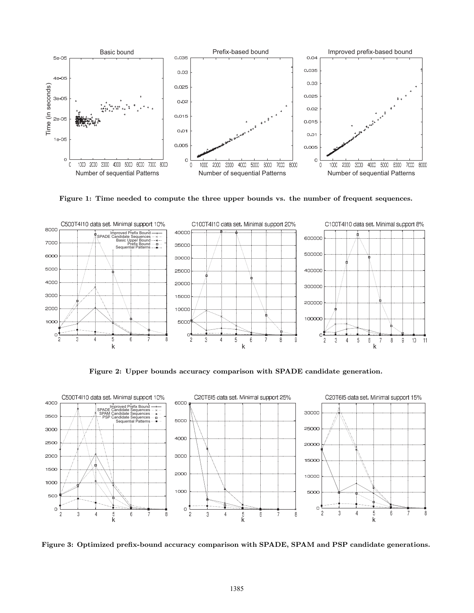

**Figure 1: Time needed to compute the three upper bounds vs. the number of frequent sequences.**



**Figure 2: Upper bounds accuracy comparison with SPADE candidate generation.**



**Figure 3: Optimized prefix-bound accuracy comparison with SPADE, SPAM and PSP candidate generations.**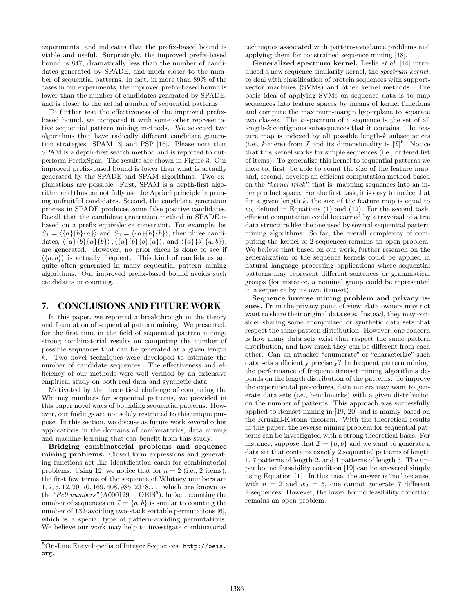experiments, and indicates that the prefix-based bound is viable and useful. Surprisingly, the improved prefix-based bound is 847, dramatically less than the number of candidates generated by SPADE, and much closer to the number of sequential patterns. In fact, in more than 89% of the cases in our experiments, the improved prefix-based bound is lower than the number of candidates generated by SPADE, and is closer to the actual number of sequential patterns.

To further test the effectiveness of the improved prefixbased bound, we compared it with some other representative sequential pattern mining methods. We selected two algorithms that have radically different candidate generation strategies: SPAM [3] and PSP [16]. Please note that SPAM is a depth-first search method and is reported to outperform PrefixSpan. The results are shown in Figure 3. Our improved prefix-based bound is lower than what is actually generated by the SPADE and SPAM algorithms. Two explanations are possible. First, SPAM is a depth-first algorithm and thus cannot fully use the Apriori principle in pruning unfruitful candidates. Second, the candidate generation process in SPADE produces some false positive candidates. Recall that the candidate generation method in SPADE is based on a prefix equivalence constraint. For example, let  $S_1 = \langle \{a\} \{b\} \{a\} \rangle$  and  $S_2 = \langle \{a\} \{b\} \{b\} \rangle$ , then three candidates,  $\langle {a}{b}{a}{b}, \langle {a}{b}{b}{b}{b}{b}{b}, \rangle$ ,  $\langle {a}{b}{b}{b}{b}{b}, \rangle$ , and  $\langle {a}{b}{a}, {b}{b}, \rangle$ are generated. However, no prior check is done to see if  $\langle \{a, b\} \rangle$  is actually frequent. This kind of candidates are quite often generated in many sequential pattern mining algorithms. Our improved prefix-based bound avoids such candidates in counting.

#### **7. CONCLUSIONS AND FUTURE WORK**

In this paper, we reported a breakthrough in the theory and foundation of sequential pattern mining. We presented, for the first time in the field of sequential pattern mining, strong combinatorial results on computing the number of possible sequences that can be generated at a given length k. Two novel techniques were developed to estimate the number of candidate sequences. The effectiveness and efficiency of our methods were well verified by an extensive empirical study on both real data and synthetic data.

Motivated by the theoretical challenge of computing the Whitney numbers for sequential patterns, we provided in this paper novel ways of bounding sequential patterns. However, our findings are not solely restricted to this unique purpose. In this section, we discuss as future work several other applications in the domains of combinatorics, data mining and machine learning that can benefit from this study.

**Bridging combinatorial problems and sequence mining problems.** Closed form expressions and generating functions act like identification cards for combinatorial problems. Using 12, we notice that for  $n = 2$  (i.e., 2 items), the first few terms of the sequence of Whitney numbers are 1, 2, 5, 12, 29, 70, 169, 408, 985, 2378,... which are known as the "Pell numbers" (A000129 in  $O EIS<sup>5</sup>$ ). In fact, counting the number of sequences on  $\mathcal{I} = \{a, b\}$  is similar to counting the number of 132-avoiding two-stack sortable permutations [6], which is a special type of pattern-avoiding permutations. We believe our work may help to investigate combinatorial

techniques associated with pattern-avoidance problems and applying them for constrained sequence mining [18].

**Generalized spectrum kernel.** Leslie et al. [14] introduced a new sequence-similarity kernel, the *spectrum kernel*, to deal with classification of protein sequences with supportvector machines (SVMs) and other kernel methods. The basic idea of applying SVMs on sequence data is to map sequences into feature spaces by means of kernel functions and compute the maximum-margin hyperplane to separate two classes. The k-spectrum of a sequence is the set of all length- $k$  contiguous subsequences that it contains. The feature map is indexed by all possible length- $k$  subsequences (i.e., k-mers) from  $\mathcal I$  and its dimensionality is  $|\mathcal I|^k$ . Notice that this kernel works for simple sequences (i.e., ordered list of items). To generalize this kernel to sequential patterns we have to, first, be able to count the size of the feature map, and, second, develop an efficient computation method based on the "kernel trick", that is, mapping sequences into an inner product space. For the first task, it is easy to notice that for a given length  $k$ , the size of the feature map is equal to  $w_k$  defined in Equations (1) and (12). For the second task, efficient computation could be carried by a traversal of a trie data structure like the one used by several sequential pattern mining algorithms. So far, the overall complexity of computing the kernel of 2 sequences remains an open problem. We believe that based on our work, further research on the generalization of the sequence kernels could be applied in natural language processing applications where sequential patterns may represent different sentences or grammatical groups (for instance, a nominal group could be represented in a sequence by its own itemset).

**Sequence inverse mining problem and privacy issues.** From the privacy point of view, data owners may not want to share their original data sets. Instead, they may consider sharing some anonymized or synthetic data sets that respect the same pattern distribution. However, one concern is how many data sets exist that respect the same pattern distribution, and how much they can be different from each other. Can an attacker "enumerate" or "characterize" such data sets sufficiently precisely? In frequent pattern mining, the performance of frequent itemset mining algorithms depends on the length distribution of the patterns. To improve the experimental procedures, data miners may want to generate data sets (i.e., benchmarks) with a given distribution on the number of patterns. This approach was successfully applied to itemset mining in [19, 20] and is mainly based on the Kruskal-Katona theorem. With the theoretical results in this paper, the reverse mining problem for sequential patterns can be investigated with a strong theoretical basis. For instance, suppose that  $\mathcal{I} = \{a, b\}$  and we want to generate a data set that contains exactly 2 sequential patterns of length 1, 7 patterns of length-2, and 1 patterns of length 3. The upper bound feasability condition [19] can be answered simply using Equation (1). In this case, the answer is "no" because, with  $n = 2$  and  $w_2 = 5$ , one cannot generate 7 different 2-sequences. However, the lower bound feasibility condition remains an open problem.

<sup>5</sup>On-Line Encyclopedia of Integer Sequences: http://oeis. org.